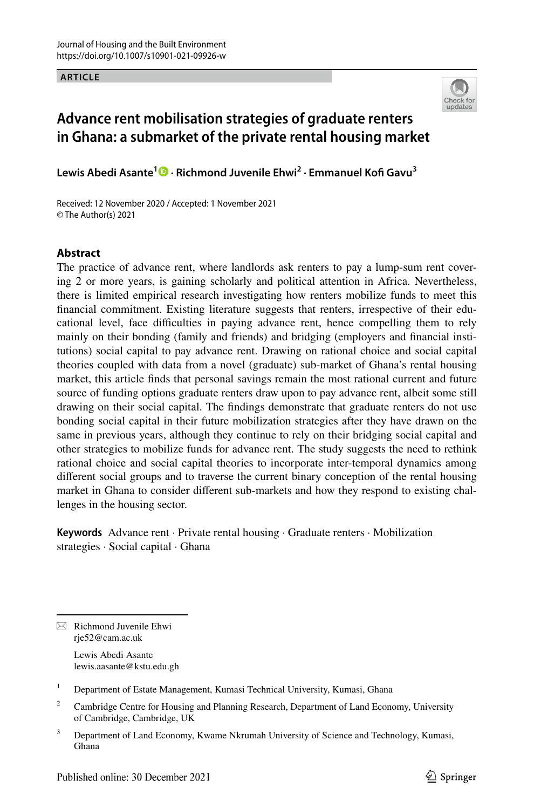**ARTICLE**



# **Advance rent mobilisation strategies of graduate renters in Ghana: a submarket of the private rental housing market**

**Lewis Abedi Asante1  [·](http://orcid.org/0000-0002-5485-8489) Richmond Juvenile Ehwi2 · Emmanuel Kof Gavu3**

Received: 12 November 2020 / Accepted: 1 November 2021 © The Author(s) 2021

# **Abstract**

The practice of advance rent, where landlords ask renters to pay a lump-sum rent covering 2 or more years, is gaining scholarly and political attention in Africa. Nevertheless, there is limited empirical research investigating how renters mobilize funds to meet this fnancial commitment. Existing literature suggests that renters, irrespective of their educational level, face difficulties in paying advance rent, hence compelling them to rely mainly on their bonding (family and friends) and bridging (employers and fnancial institutions) social capital to pay advance rent. Drawing on rational choice and social capital theories coupled with data from a novel (graduate) sub-market of Ghana's rental housing market, this article fnds that personal savings remain the most rational current and future source of funding options graduate renters draw upon to pay advance rent, albeit some still drawing on their social capital. The fndings demonstrate that graduate renters do not use bonding social capital in their future mobilization strategies after they have drawn on the same in previous years, although they continue to rely on their bridging social capital and other strategies to mobilize funds for advance rent. The study suggests the need to rethink rational choice and social capital theories to incorporate inter-temporal dynamics among diferent social groups and to traverse the current binary conception of the rental housing market in Ghana to consider diferent sub-markets and how they respond to existing challenges in the housing sector.

**Keywords** Advance rent · Private rental housing · Graduate renters · Mobilization strategies · Social capital · Ghana

 $\boxtimes$  Richmond Juvenile Ehwi rje52@cam.ac.uk

> Lewis Abedi Asante lewis.aasante@kstu.edu.gh

<sup>1</sup> Department of Estate Management, Kumasi Technical University, Kumasi, Ghana

<sup>2</sup> Cambridge Centre for Housing and Planning Research, Department of Land Economy, University of Cambridge, Cambridge, UK

<sup>&</sup>lt;sup>3</sup> Department of Land Economy, Kwame Nkrumah University of Science and Technology, Kumasi, Ghana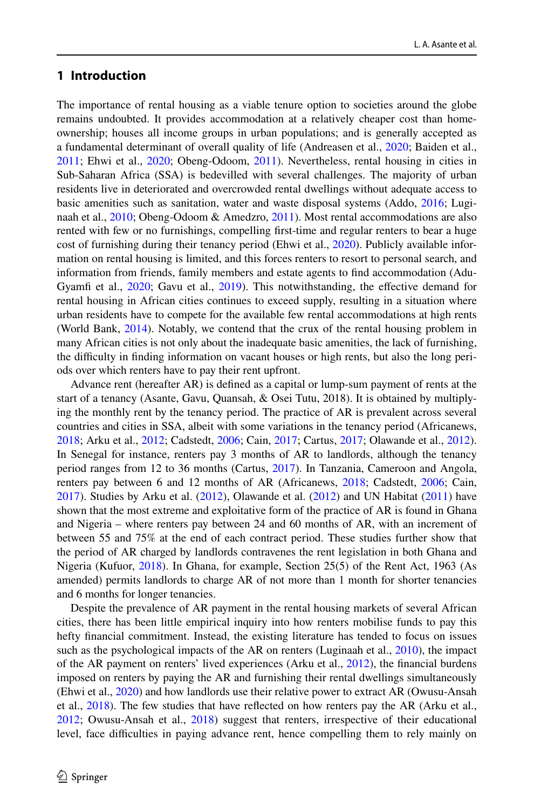# **1 Introduction**

The importance of rental housing as a viable tenure option to societies around the globe remains undoubted. It provides accommodation at a relatively cheaper cost than homeownership; houses all income groups in urban populations; and is generally accepted as a fundamental determinant of overall quality of life (Andreasen et al., [2020](#page-18-0); Baiden et al., [2011;](#page-18-1) Ehwi et al., [2020;](#page-19-0) Obeng-Odoom, [2011](#page-20-0)). Nevertheless, rental housing in cities in Sub-Saharan Africa (SSA) is bedevilled with several challenges. The majority of urban residents live in deteriorated and overcrowded rental dwellings without adequate access to basic amenities such as sanitation, water and waste disposal systems (Addo, [2016;](#page-18-2) Luginaah et al., [2010](#page-19-1); Obeng-Odoom & Amedzro, [2011\)](#page-20-0). Most rental accommodations are also rented with few or no furnishings, compelling frst-time and regular renters to bear a huge cost of furnishing during their tenancy period (Ehwi et al., [2020\)](#page-19-0). Publicly available information on rental housing is limited, and this forces renters to resort to personal search, and information from friends, family members and estate agents to fnd accommodation (Adu-Gyamfi et al., [2020;](#page-18-3) Gavu et al., [2019](#page-19-2)). This notwithstanding, the effective demand for rental housing in African cities continues to exceed supply, resulting in a situation where urban residents have to compete for the available few rental accommodations at high rents (World Bank, [2014](#page-20-1)). Notably, we contend that the crux of the rental housing problem in many African cities is not only about the inadequate basic amenities, the lack of furnishing, the difculty in fnding information on vacant houses or high rents, but also the long periods over which renters have to pay their rent upfront.

Advance rent (hereafter AR) is defned as a capital or lump-sum payment of rents at the start of a tenancy (Asante, Gavu, Quansah, & Osei Tutu, 2018). It is obtained by multiplying the monthly rent by the tenancy period. The practice of AR is prevalent across several countries and cities in SSA, albeit with some variations in the tenancy period (Africanews, [2018;](#page-18-4) Arku et al., [2012;](#page-18-5) Cadstedt, [2006;](#page-18-6) Cain, [2017;](#page-19-3) Cartus, [2017;](#page-19-4) Olawande et al., [2012](#page-20-2)). In Senegal for instance, renters pay 3 months of AR to landlords, although the tenancy period ranges from 12 to 36 months (Cartus, [2017](#page-19-4)). In Tanzania, Cameroon and Angola, renters pay between 6 and 12 months of AR (Africanews, [2018;](#page-18-4) Cadstedt, [2006;](#page-18-6) Cain, [2017\)](#page-19-3). Studies by Arku et al. ([2012\)](#page-18-5), Olawande et al. ([2012\)](#page-20-2) and UN Habitat [\(2011](#page-20-3)) have shown that the most extreme and exploitative form of the practice of AR is found in Ghana and Nigeria – where renters pay between 24 and 60 months of AR, with an increment of between 55 and 75% at the end of each contract period. These studies further show that the period of AR charged by landlords contravenes the rent legislation in both Ghana and Nigeria (Kufuor, [2018](#page-19-5)). In Ghana, for example, Section 25(5) of the Rent Act, 1963 (As amended) permits landlords to charge AR of not more than 1 month for shorter tenancies and 6 months for longer tenancies.

Despite the prevalence of AR payment in the rental housing markets of several African cities, there has been little empirical inquiry into how renters mobilise funds to pay this hefty fnancial commitment. Instead, the existing literature has tended to focus on issues such as the psychological impacts of the AR on renters (Luginaah et al., [2010](#page-19-1)), the impact of the AR payment on renters' lived experiences (Arku et al.,  $2012$ ), the financial burdens imposed on renters by paying the AR and furnishing their rental dwellings simultaneously (Ehwi et al., [2020](#page-19-0)) and how landlords use their relative power to extract AR (Owusu-Ansah et al.,  $2018$ ). The few studies that have reflected on how renters pay the AR (Arku et al., [2012;](#page-18-5) Owusu-Ansah et al., [2018](#page-20-4)) suggest that renters, irrespective of their educational level, face difculties in paying advance rent, hence compelling them to rely mainly on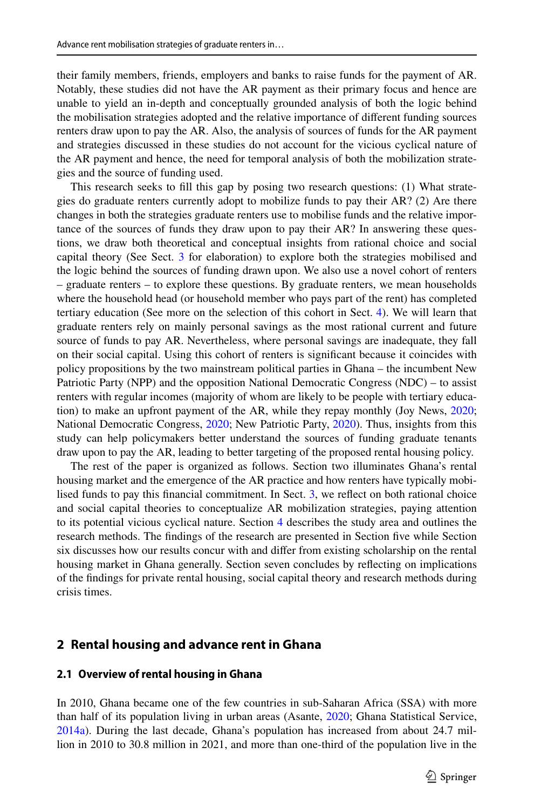their family members, friends, employers and banks to raise funds for the payment of AR. Notably, these studies did not have the AR payment as their primary focus and hence are unable to yield an in-depth and conceptually grounded analysis of both the logic behind the mobilisation strategies adopted and the relative importance of diferent funding sources renters draw upon to pay the AR. Also, the analysis of sources of funds for the AR payment and strategies discussed in these studies do not account for the vicious cyclical nature of the AR payment and hence, the need for temporal analysis of both the mobilization strategies and the source of funding used.

This research seeks to fll this gap by posing two research questions: (1) What strategies do graduate renters currently adopt to mobilize funds to pay their AR? (2) Are there changes in both the strategies graduate renters use to mobilise funds and the relative importance of the sources of funds they draw upon to pay their AR? In answering these questions, we draw both theoretical and conceptual insights from rational choice and social capital theory (See Sect. [3](#page-4-0) for elaboration) to explore both the strategies mobilised and the logic behind the sources of funding drawn upon. We also use a novel cohort of renters – graduate renters – to explore these questions. By graduate renters, we mean households where the household head (or household member who pays part of the rent) has completed tertiary education (See more on the selection of this cohort in Sect. [4\)](#page-8-0). We will learn that graduate renters rely on mainly personal savings as the most rational current and future source of funds to pay AR. Nevertheless, where personal savings are inadequate, they fall on their social capital. Using this cohort of renters is signifcant because it coincides with policy propositions by the two mainstream political parties in Ghana – the incumbent New Patriotic Party (NPP) and the opposition National Democratic Congress (NDC) – to assist renters with regular incomes (majority of whom are likely to be people with tertiary education) to make an upfront payment of the AR, while they repay monthly (Joy News, [2020](#page-19-6); National Democratic Congress, [2020;](#page-20-5) New Patriotic Party, [2020](#page-20-6)). Thus, insights from this study can help policymakers better understand the sources of funding graduate tenants draw upon to pay the AR, leading to better targeting of the proposed rental housing policy.

The rest of the paper is organized as follows. Section two illuminates Ghana's rental housing market and the emergence of the AR practice and how renters have typically mobilised funds to pay this fnancial commitment. In Sect. [3](#page-4-0), we refect on both rational choice and social capital theories to conceptualize AR mobilization strategies, paying attention to its potential vicious cyclical nature. Section [4](#page-8-0) describes the study area and outlines the research methods. The fndings of the research are presented in Section fve while Section six discusses how our results concur with and difer from existing scholarship on the rental housing market in Ghana generally. Section seven concludes by refecting on implications of the fndings for private rental housing, social capital theory and research methods during crisis times.

## **2 Rental housing and advance rent in Ghana**

#### **2.1 Overview of rental housing in Ghana**

In 2010, Ghana became one of the few countries in sub-Saharan Africa (SSA) with more than half of its population living in urban areas (Asante, [2020;](#page-18-7) Ghana Statistical Service, [2014a\)](#page-19-7). During the last decade, Ghana's population has increased from about 24.7 million in 2010 to 30.8 million in 2021, and more than one-third of the population live in the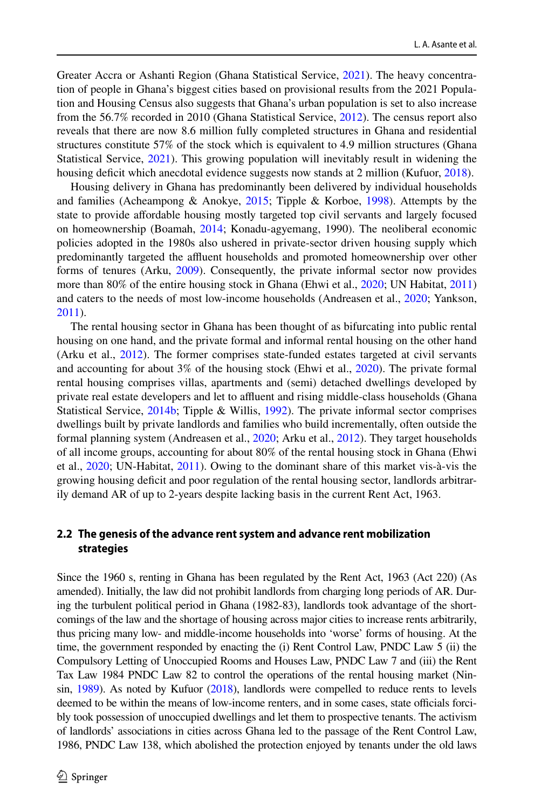Greater Accra or Ashanti Region (Ghana Statistical Service, [2021](#page-19-8)). The heavy concentration of people in Ghana's biggest cities based on provisional results from the 2021 Population and Housing Census also suggests that Ghana's urban population is set to also increase from the 56.7% recorded in 2010 (Ghana Statistical Service, [2012\)](#page-19-9). The census report also reveals that there are now 8.6 million fully completed structures in Ghana and residential structures constitute 57% of the stock which is equivalent to 4.9 million structures (Ghana Statistical Service, [2021\)](#page-19-8). This growing population will inevitably result in widening the housing deficit which anecdotal evidence suggests now stands at 2 million (Kufuor, [2018\)](#page-19-5).

Housing delivery in Ghana has predominantly been delivered by individual households and families (Acheampong & Anokye, [2015](#page-18-8); Tipple & Korboe, [1998](#page-20-7)). Attempts by the state to provide afordable housing mostly targeted top civil servants and largely focused on homeownership (Boamah, [2014;](#page-18-9) Konadu-agyemang, 1990). The neoliberal economic policies adopted in the 1980s also ushered in private-sector driven housing supply which predominantly targeted the affluent households and promoted homeownership over other forms of tenures (Arku, [2009\)](#page-18-10). Consequently, the private informal sector now provides more than 80% of the entire housing stock in Ghana (Ehwi et al., [2020;](#page-19-0) UN Habitat, [2011](#page-20-8)) and caters to the needs of most low-income households (Andreasen et al., [2020;](#page-18-0) Yankson, [2011\)](#page-20-9).

The rental housing sector in Ghana has been thought of as bifurcating into public rental housing on one hand, and the private formal and informal rental housing on the other hand (Arku et al., [2012\)](#page-18-5). The former comprises state-funded estates targeted at civil servants and accounting for about 3% of the housing stock (Ehwi et al., [2020\)](#page-19-0). The private formal rental housing comprises villas, apartments and (semi) detached dwellings developed by private real estate developers and let to affluent and rising middle-class households (Ghana Statistical Service, [2014b](#page-19-10); Tipple & Willis, [1992\)](#page-20-10). The private informal sector comprises dwellings built by private landlords and families who build incrementally, often outside the formal planning system (Andreasen et al., [2020](#page-18-0); Arku et al., [2012](#page-18-5)). They target households of all income groups, accounting for about 80% of the rental housing stock in Ghana (Ehwi et al., [2020;](#page-19-0) UN-Habitat, [2011\)](#page-20-3). Owing to the dominant share of this market vis-à-vis the growing housing defcit and poor regulation of the rental housing sector, landlords arbitrarily demand AR of up to 2-years despite lacking basis in the current Rent Act, 1963.

# **2.2 The genesis of the advance rent system and advance rent mobilization strategies**

Since the 1960 s, renting in Ghana has been regulated by the Rent Act, 1963 (Act 220) (As amended). Initially, the law did not prohibit landlords from charging long periods of AR. During the turbulent political period in Ghana (1982-83), landlords took advantage of the shortcomings of the law and the shortage of housing across major cities to increase rents arbitrarily, thus pricing many low- and middle-income households into 'worse' forms of housing. At the time, the government responded by enacting the (i) Rent Control Law, PNDC Law 5 (ii) the Compulsory Letting of Unoccupied Rooms and Houses Law, PNDC Law 7 and (iii) the Rent Tax Law 1984 PNDC Law 82 to control the operations of the rental housing market (Ninsin, [1989\)](#page-20-11). As noted by Kufuor [\(2018\)](#page-19-5), landlords were compelled to reduce rents to levels deemed to be within the means of low-income renters, and in some cases, state officials forcibly took possession of unoccupied dwellings and let them to prospective tenants. The activism of landlords' associations in cities across Ghana led to the passage of the Rent Control Law, 1986, PNDC Law 138, which abolished the protection enjoyed by tenants under the old laws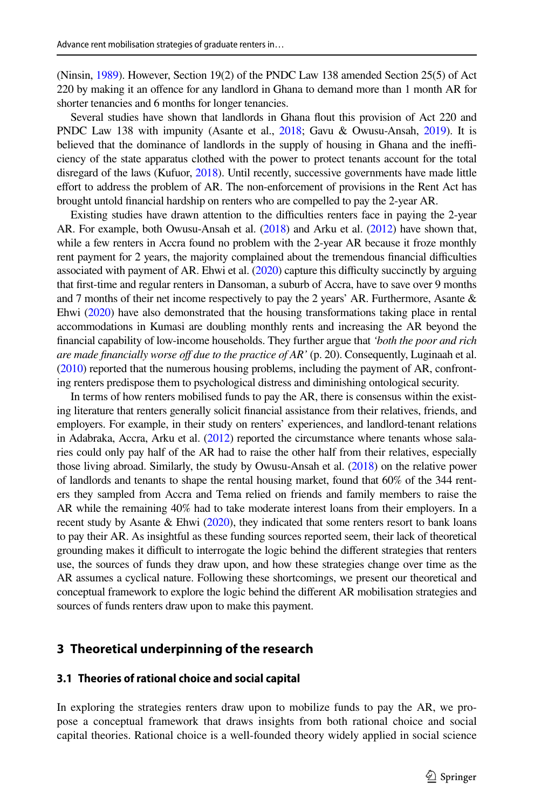(Ninsin, [1989](#page-20-11)). However, Section 19(2) of the PNDC Law 138 amended Section 25(5) of Act 220 by making it an ofence for any landlord in Ghana to demand more than 1 month AR for shorter tenancies and 6 months for longer tenancies.

Several studies have shown that landlords in Ghana fout this provision of Act 220 and PNDC Law 138 with impunity (Asante et al., [2018](#page-18-11); Gavu & Owusu-Ansah, [2019](#page-19-11)). It is believed that the dominance of landlords in the supply of housing in Ghana and the inefficiency of the state apparatus clothed with the power to protect tenants account for the total disregard of the laws (Kufuor, [2018](#page-19-5)). Until recently, successive governments have made little effort to address the problem of AR. The non-enforcement of provisions in the Rent Act has brought untold fnancial hardship on renters who are compelled to pay the 2-year AR.

Existing studies have drawn attention to the difculties renters face in paying the 2-year AR. For example, both Owusu-Ansah et al. [\(2018](#page-20-4)) and Arku et al. ([2012](#page-18-5)) have shown that, while a few renters in Accra found no problem with the 2-year AR because it froze monthly rent payment for 2 years, the majority complained about the tremendous fnancial difculties associated with payment of AR. Ehwi et al. [\(2020\)](#page-19-0) capture this difculty succinctly by arguing that frst-time and regular renters in Dansoman, a suburb of Accra, have to save over 9 months and 7 months of their net income respectively to pay the 2 years' AR. Furthermore, Asante  $\&$ Ehwi ([2020\)](#page-18-7) have also demonstrated that the housing transformations taking place in rental accommodations in Kumasi are doubling monthly rents and increasing the AR beyond the fnancial capability of low-income households. They further argue that *'both the poor and rich are made financially worse off due to the practice of AR'* (p. 20). Consequently, Luginaah et al. ([2010](#page-19-1)) reported that the numerous housing problems, including the payment of AR, confronting renters predispose them to psychological distress and diminishing ontological security.

In terms of how renters mobilised funds to pay the AR, there is consensus within the existing literature that renters generally solicit fnancial assistance from their relatives, friends, and employers. For example, in their study on renters' experiences, and landlord-tenant relations in Adabraka, Accra, Arku et al. ([2012](#page-18-5)) reported the circumstance where tenants whose salaries could only pay half of the AR had to raise the other half from their relatives, especially those living abroad. Similarly, the study by Owusu-Ansah et al. [\(2018\)](#page-20-4) on the relative power of landlords and tenants to shape the rental housing market, found that 60% of the 344 renters they sampled from Accra and Tema relied on friends and family members to raise the AR while the remaining 40% had to take moderate interest loans from their employers. In a recent study by Asante & Ehwi [\(2020\)](#page-18-7), they indicated that some renters resort to bank loans to pay their AR. As insightful as these funding sources reported seem, their lack of theoretical grounding makes it difficult to interrogate the logic behind the different strategies that renters use, the sources of funds they draw upon, and how these strategies change over time as the AR assumes a cyclical nature. Following these shortcomings, we present our theoretical and conceptual framework to explore the logic behind the diferent AR mobilisation strategies and sources of funds renters draw upon to make this payment.

# <span id="page-4-0"></span>**3 Theoretical underpinning of the research**

#### **3.1 Theories of rational choice and social capital**

In exploring the strategies renters draw upon to mobilize funds to pay the AR, we propose a conceptual framework that draws insights from both rational choice and social capital theories. Rational choice is a well-founded theory widely applied in social science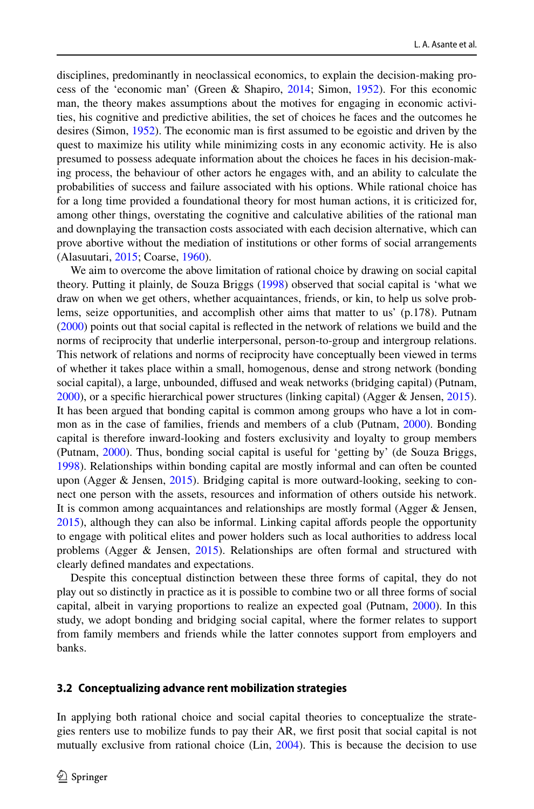disciplines, predominantly in neoclassical economics, to explain the decision-making process of the 'economic man' (Green & Shapiro, [2014;](#page-19-12) Simon, [1952](#page-20-12)). For this economic man, the theory makes assumptions about the motives for engaging in economic activities, his cognitive and predictive abilities, the set of choices he faces and the outcomes he desires (Simon, [1952\)](#page-20-12). The economic man is frst assumed to be egoistic and driven by the quest to maximize his utility while minimizing costs in any economic activity. He is also presumed to possess adequate information about the choices he faces in his decision-making process, the behaviour of other actors he engages with, and an ability to calculate the probabilities of success and failure associated with his options. While rational choice has for a long time provided a foundational theory for most human actions, it is criticized for, among other things, overstating the cognitive and calculative abilities of the rational man and downplaying the transaction costs associated with each decision alternative, which can prove abortive without the mediation of institutions or other forms of social arrangements (Alasuutari, [2015;](#page-18-12) Coarse, [1960\)](#page-19-13).

We aim to overcome the above limitation of rational choice by drawing on social capital theory. Putting it plainly, de Souza Briggs [\(1998](#page-19-14)) observed that social capital is 'what we draw on when we get others, whether acquaintances, friends, or kin, to help us solve problems, seize opportunities, and accomplish other aims that matter to us' (p.178). Putnam ([2000\)](#page-20-13) points out that social capital is refected in the network of relations we build and the norms of reciprocity that underlie interpersonal, person-to-group and intergroup relations. This network of relations and norms of reciprocity have conceptually been viewed in terms of whether it takes place within a small, homogenous, dense and strong network (bonding social capital), a large, unbounded, difused and weak networks (bridging capital) (Putnam, [2000\)](#page-20-13), or a specifc hierarchical power structures (linking capital) (Agger & Jensen, [2015](#page-18-13)). It has been argued that bonding capital is common among groups who have a lot in common as in the case of families, friends and members of a club (Putnam, [2000\)](#page-20-13). Bonding capital is therefore inward-looking and fosters exclusivity and loyalty to group members (Putnam, [2000\)](#page-20-13). Thus, bonding social capital is useful for 'getting by' (de Souza Briggs, [1998\)](#page-19-14). Relationships within bonding capital are mostly informal and can often be counted upon (Agger & Jensen, [2015\)](#page-18-13). Bridging capital is more outward-looking, seeking to connect one person with the assets, resources and information of others outside his network. It is common among acquaintances and relationships are mostly formal (Agger & Jensen, [2015\)](#page-18-13), although they can also be informal. Linking capital afords people the opportunity to engage with political elites and power holders such as local authorities to address local problems (Agger & Jensen, [2015\)](#page-18-13). Relationships are often formal and structured with clearly defned mandates and expectations.

Despite this conceptual distinction between these three forms of capital, they do not play out so distinctly in practice as it is possible to combine two or all three forms of social capital, albeit in varying proportions to realize an expected goal (Putnam, [2000\)](#page-20-13). In this study, we adopt bonding and bridging social capital, where the former relates to support from family members and friends while the latter connotes support from employers and banks.

#### **3.2 Conceptualizing advance rent mobilization strategies**

In applying both rational choice and social capital theories to conceptualize the strategies renters use to mobilize funds to pay their AR, we frst posit that social capital is not mutually exclusive from rational choice (Lin, [2004](#page-19-15)). This is because the decision to use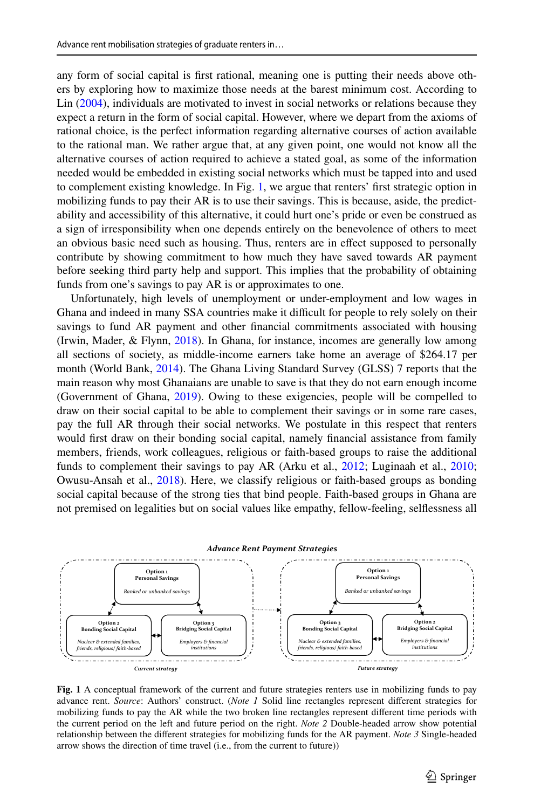any form of social capital is frst rational, meaning one is putting their needs above others by exploring how to maximize those needs at the barest minimum cost. According to Lin ([2004\)](#page-19-15), individuals are motivated to invest in social networks or relations because they expect a return in the form of social capital. However, where we depart from the axioms of rational choice, is the perfect information regarding alternative courses of action available to the rational man. We rather argue that, at any given point, one would not know all the alternative courses of action required to achieve a stated goal, as some of the information needed would be embedded in existing social networks which must be tapped into and used to complement existing knowledge. In Fig. [1,](#page-6-0) we argue that renters' frst strategic option in mobilizing funds to pay their AR is to use their savings. This is because, aside, the predictability and accessibility of this alternative, it could hurt one's pride or even be construed as a sign of irresponsibility when one depends entirely on the benevolence of others to meet an obvious basic need such as housing. Thus, renters are in efect supposed to personally contribute by showing commitment to how much they have saved towards AR payment before seeking third party help and support. This implies that the probability of obtaining funds from one's savings to pay AR is or approximates to one.

Unfortunately, high levels of unemployment or under-employment and low wages in Ghana and indeed in many SSA countries make it difficult for people to rely solely on their savings to fund AR payment and other fnancial commitments associated with housing (Irwin, Mader, & Flynn, [2018\)](#page-19-16). In Ghana, for instance, incomes are generally low among all sections of society, as middle-income earners take home an average of \$264.17 per month (World Bank, [2014\)](#page-20-1). The Ghana Living Standard Survey (GLSS) 7 reports that the main reason why most Ghanaians are unable to save is that they do not earn enough income (Government of Ghana, [2019](#page-19-17)). Owing to these exigencies, people will be compelled to draw on their social capital to be able to complement their savings or in some rare cases, pay the full AR through their social networks. We postulate in this respect that renters would frst draw on their bonding social capital, namely fnancial assistance from family members, friends, work colleagues, religious or faith-based groups to raise the additional funds to complement their savings to pay AR (Arku et al., [2012](#page-18-5); Luginaah et al., [2010;](#page-19-1) Owusu-Ansah et al., [2018](#page-20-4)). Here, we classify religious or faith-based groups as bonding social capital because of the strong ties that bind people. Faith-based groups in Ghana are not premised on legalities but on social values like empathy, fellow-feeling, selfessness all



<span id="page-6-0"></span>**Fig. 1** A conceptual framework of the current and future strategies renters use in mobilizing funds to pay advance rent. *Source*: Authors' construct. (*Note 1* Solid line rectangles represent diferent strategies for mobilizing funds to pay the AR while the two broken line rectangles represent diferent time periods with the current period on the left and future period on the right. *Note 2* Double-headed arrow show potential relationship between the diferent strategies for mobilizing funds for the AR payment. *Note 3* Single-headed arrow shows the direction of time travel (i.e., from the current to future))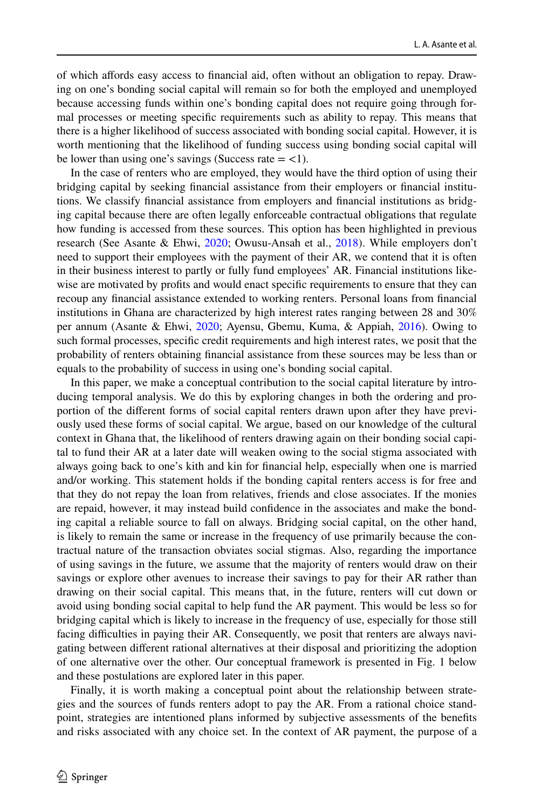of which afords easy access to fnancial aid, often without an obligation to repay. Drawing on one's bonding social capital will remain so for both the employed and unemployed because accessing funds within one's bonding capital does not require going through formal processes or meeting specifc requirements such as ability to repay. This means that there is a higher likelihood of success associated with bonding social capital. However, it is worth mentioning that the likelihood of funding success using bonding social capital will be lower than using one's savings (Success rate  $=$  <1).

In the case of renters who are employed, they would have the third option of using their bridging capital by seeking fnancial assistance from their employers or fnancial institutions. We classify fnancial assistance from employers and fnancial institutions as bridging capital because there are often legally enforceable contractual obligations that regulate how funding is accessed from these sources. This option has been highlighted in previous research (See Asante & Ehwi, [2020](#page-18-7); Owusu-Ansah et al., [2018](#page-20-4)). While employers don't need to support their employees with the payment of their AR, we contend that it is often in their business interest to partly or fully fund employees' AR. Financial institutions likewise are motivated by profts and would enact specifc requirements to ensure that they can recoup any fnancial assistance extended to working renters. Personal loans from fnancial institutions in Ghana are characterized by high interest rates ranging between 28 and 30% per annum (Asante & Ehwi, [2020](#page-18-7); Ayensu, Gbemu, Kuma, & Appiah, [2016\)](#page-18-14). Owing to such formal processes, specifc credit requirements and high interest rates, we posit that the probability of renters obtaining fnancial assistance from these sources may be less than or equals to the probability of success in using one's bonding social capital.

In this paper, we make a conceptual contribution to the social capital literature by introducing temporal analysis. We do this by exploring changes in both the ordering and proportion of the diferent forms of social capital renters drawn upon after they have previously used these forms of social capital. We argue, based on our knowledge of the cultural context in Ghana that, the likelihood of renters drawing again on their bonding social capital to fund their AR at a later date will weaken owing to the social stigma associated with always going back to one's kith and kin for fnancial help, especially when one is married and/or working. This statement holds if the bonding capital renters access is for free and that they do not repay the loan from relatives, friends and close associates. If the monies are repaid, however, it may instead build confdence in the associates and make the bonding capital a reliable source to fall on always. Bridging social capital, on the other hand, is likely to remain the same or increase in the frequency of use primarily because the contractual nature of the transaction obviates social stigmas. Also, regarding the importance of using savings in the future, we assume that the majority of renters would draw on their savings or explore other avenues to increase their savings to pay for their AR rather than drawing on their social capital. This means that, in the future, renters will cut down or avoid using bonding social capital to help fund the AR payment. This would be less so for bridging capital which is likely to increase in the frequency of use, especially for those still facing difficulties in paying their AR. Consequently, we posit that renters are always navigating between diferent rational alternatives at their disposal and prioritizing the adoption of one alternative over the other. Our conceptual framework is presented in Fig. 1 below and these postulations are explored later in this paper.

Finally, it is worth making a conceptual point about the relationship between strategies and the sources of funds renters adopt to pay the AR. From a rational choice standpoint, strategies are intentioned plans informed by subjective assessments of the benefts and risks associated with any choice set. In the context of AR payment, the purpose of a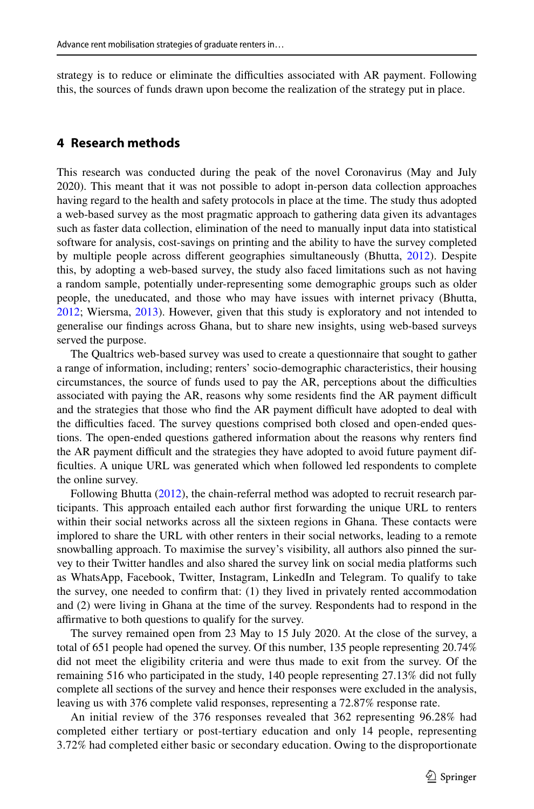strategy is to reduce or eliminate the difficulties associated with AR payment. Following this, the sources of funds drawn upon become the realization of the strategy put in place.

# <span id="page-8-0"></span>**4 Research methods**

This research was conducted during the peak of the novel Coronavirus (May and July 2020). This meant that it was not possible to adopt in-person data collection approaches having regard to the health and safety protocols in place at the time. The study thus adopted a web-based survey as the most pragmatic approach to gathering data given its advantages such as faster data collection, elimination of the need to manually input data into statistical software for analysis, cost-savings on printing and the ability to have the survey completed by multiple people across diferent geographies simultaneously (Bhutta, [2012](#page-18-15)). Despite this, by adopting a web-based survey, the study also faced limitations such as not having a random sample, potentially under-representing some demographic groups such as older people, the uneducated, and those who may have issues with internet privacy (Bhutta, [2012;](#page-18-15) Wiersma, [2013](#page-20-14)). However, given that this study is exploratory and not intended to generalise our fndings across Ghana, but to share new insights, using web-based surveys served the purpose.

The Qualtrics web-based survey was used to create a questionnaire that sought to gather a range of information, including; renters' socio-demographic characteristics, their housing circumstances, the source of funds used to pay the AR, perceptions about the difculties associated with paying the AR, reasons why some residents find the AR payment difficult and the strategies that those who find the AR payment difficult have adopted to deal with the difculties faced. The survey questions comprised both closed and open-ended questions. The open-ended questions gathered information about the reasons why renters fnd the AR payment difficult and the strategies they have adopted to avoid future payment diffculties. A unique URL was generated which when followed led respondents to complete the online survey.

Following Bhutta ([2012\)](#page-18-15), the chain-referral method was adopted to recruit research participants. This approach entailed each author frst forwarding the unique URL to renters within their social networks across all the sixteen regions in Ghana. These contacts were implored to share the URL with other renters in their social networks, leading to a remote snowballing approach. To maximise the survey's visibility, all authors also pinned the survey to their Twitter handles and also shared the survey link on social media platforms such as WhatsApp, Facebook, Twitter, Instagram, LinkedIn and Telegram. To qualify to take the survey, one needed to confrm that: (1) they lived in privately rented accommodation and (2) were living in Ghana at the time of the survey. Respondents had to respond in the afrmative to both questions to qualify for the survey.

The survey remained open from 23 May to 15 July 2020. At the close of the survey, a total of 651 people had opened the survey. Of this number, 135 people representing 20.74% did not meet the eligibility criteria and were thus made to exit from the survey. Of the remaining 516 who participated in the study, 140 people representing 27.13% did not fully complete all sections of the survey and hence their responses were excluded in the analysis, leaving us with 376 complete valid responses, representing a 72.87% response rate.

An initial review of the 376 responses revealed that 362 representing 96.28% had completed either tertiary or post-tertiary education and only 14 people, representing 3.72% had completed either basic or secondary education. Owing to the disproportionate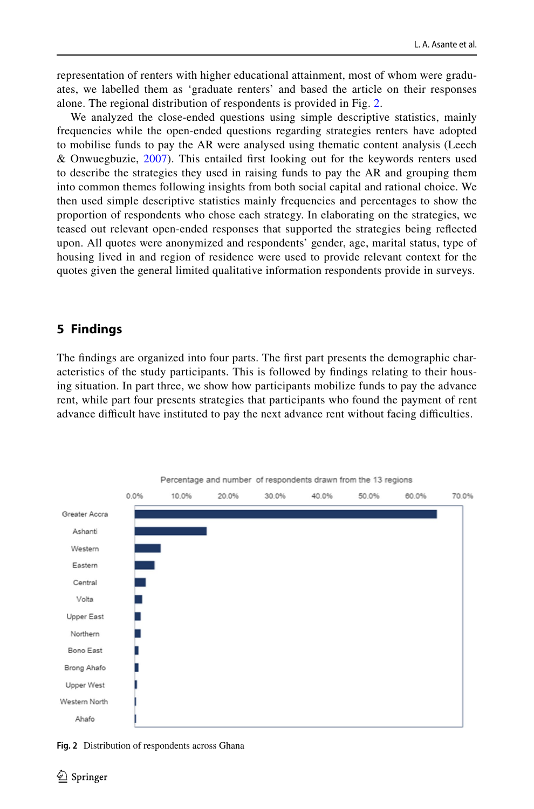representation of renters with higher educational attainment, most of whom were graduates, we labelled them as 'graduate renters' and based the article on their responses alone. The regional distribution of respondents is provided in Fig. [2.](#page-9-0)

We analyzed the close-ended questions using simple descriptive statistics, mainly frequencies while the open-ended questions regarding strategies renters have adopted to mobilise funds to pay the AR were analysed using thematic content analysis (Leech & Onwuegbuzie, [2007\)](#page-19-18). This entailed frst looking out for the keywords renters used to describe the strategies they used in raising funds to pay the AR and grouping them into common themes following insights from both social capital and rational choice. We then used simple descriptive statistics mainly frequencies and percentages to show the proportion of respondents who chose each strategy. In elaborating on the strategies, we teased out relevant open-ended responses that supported the strategies being refected upon. All quotes were anonymized and respondents' gender, age, marital status, type of housing lived in and region of residence were used to provide relevant context for the quotes given the general limited qualitative information respondents provide in surveys.

# **5 Findings**

The fndings are organized into four parts. The frst part presents the demographic characteristics of the study participants. This is followed by fndings relating to their housing situation. In part three, we show how participants mobilize funds to pay the advance rent, while part four presents strategies that participants who found the payment of rent advance difficult have instituted to pay the next advance rent without facing difficulties.



<span id="page-9-0"></span>**Fig. 2** Distribution of respondents across Ghana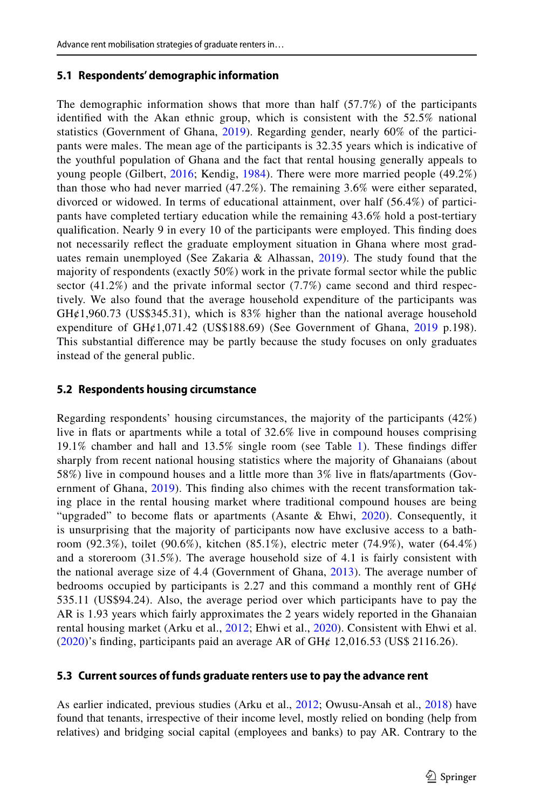#### **5.1 Respondents' demographic information**

The demographic information shows that more than half (57.7%) of the participants identifed with the Akan ethnic group, which is consistent with the 52.5% national statistics (Government of Ghana, [2019\)](#page-19-17). Regarding gender, nearly 60% of the participants were males. The mean age of the participants is 32.35 years which is indicative of the youthful population of Ghana and the fact that rental housing generally appeals to young people (Gilbert, [2016;](#page-19-19) Kendig, [1984](#page-19-20)). There were more married people (49.2%) than those who had never married (47.2%). The remaining 3.6% were either separated, divorced or widowed. In terms of educational attainment, over half (56.4%) of participants have completed tertiary education while the remaining 43.6% hold a post-tertiary qualifcation. Nearly 9 in every 10 of the participants were employed. This fnding does not necessarily refect the graduate employment situation in Ghana where most graduates remain unemployed (See Zakaria & Alhassan,  $2019$ ). The study found that the majority of respondents (exactly 50%) work in the private formal sector while the public sector (41.2%) and the private informal sector (7.7%) came second and third respectively. We also found that the average household expenditure of the participants was  $GH¢1,960.73$  (US\$345.31), which is 83% higher than the national average household expenditure of  $GH¢1,071.42$  (US\$188.69) (See Government of Ghana, [2019](#page-19-17) p.198). This substantial diference may be partly because the study focuses on only graduates instead of the general public.

#### **5.2 Respondents housing circumstance**

Regarding respondents' housing circumstances, the majority of the participants (42%) live in fats or apartments while a total of 32.6% live in compound houses comprising 19.1% chamber and hall and 13.5% single room (see Table [1\)](#page-11-0). These fndings difer sharply from recent national housing statistics where the majority of Ghanaians (about 58%) live in compound houses and a little more than 3% live in fats/apartments (Gov-ernment of Ghana, [2019](#page-19-17)). This finding also chimes with the recent transformation taking place in the rental housing market where traditional compound houses are being "upgraded" to become flats or apartments (Asante & Ehwi,  $2020$ ). Consequently, it is unsurprising that the majority of participants now have exclusive access to a bathroom (92.3%), toilet (90.6%), kitchen (85.1%), electric meter (74.9%), water (64.4%) and a storeroom (31.5%). The average household size of 4.1 is fairly consistent with the national average size of 4.4 (Government of Ghana, [2013\)](#page-19-18). The average number of bedrooms occupied by participants is 2.27 and this command a monthly rent of  $GH\phi$ 535.11 (US\$94.24). Also, the average period over which participants have to pay the AR is 1.93 years which fairly approximates the 2 years widely reported in the Ghanaian rental housing market (Arku et al., [2012](#page-18-5); Ehwi et al., [2020\)](#page-19-0). Consistent with Ehwi et al.  $(2020)$  $(2020)$ 's finding, participants paid an average AR of GH $\ell$  12,016.53 (US\$ 2116.26).

### **5.3 Current sources of funds graduate renters use to pay the advance rent**

As earlier indicated, previous studies (Arku et al., [2012](#page-18-5); Owusu-Ansah et al., [2018\)](#page-20-4) have found that tenants, irrespective of their income level, mostly relied on bonding (help from relatives) and bridging social capital (employees and banks) to pay AR. Contrary to the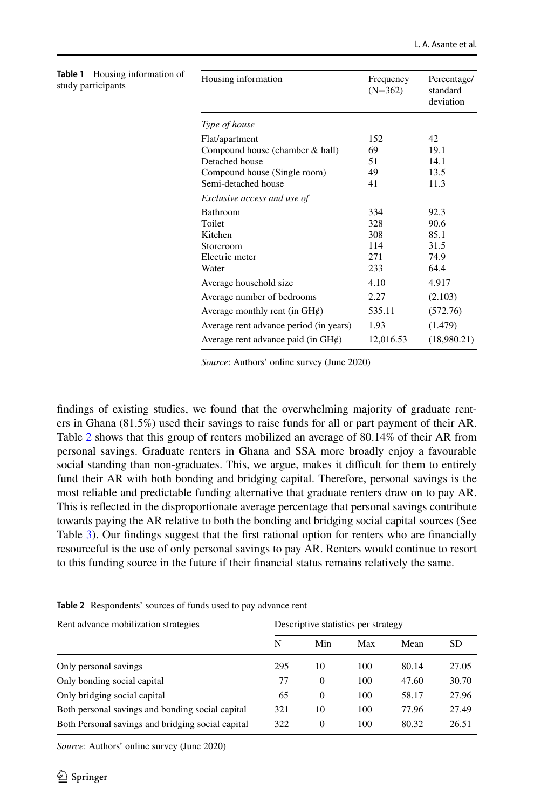<span id="page-11-0"></span>

| Housing information of<br>Table 1<br>study participants | Housing information                      | Frequency<br>$(N=362)$ | Percentage/<br>standard<br>deviation |  |  |
|---------------------------------------------------------|------------------------------------------|------------------------|--------------------------------------|--|--|
|                                                         | Type of house                            |                        |                                      |  |  |
|                                                         | Flat/apartment                           | 152                    | 42                                   |  |  |
|                                                         | Compound house (chamber $&$ hall)        | 69                     | 19.1                                 |  |  |
|                                                         | Detached house                           | 51                     | 14.1                                 |  |  |
|                                                         | Compound house (Single room)             | 49                     | 13.5                                 |  |  |
|                                                         | Semi-detached house                      | 41                     | 11.3                                 |  |  |
|                                                         | Exclusive access and use of              |                        |                                      |  |  |
|                                                         | Bathroom                                 | 334                    | 92.3                                 |  |  |
|                                                         | Toilet                                   | 328                    | 90.6                                 |  |  |
|                                                         | Kitchen                                  | 308                    | 85.1                                 |  |  |
|                                                         | Storeroom                                | 114                    | 31.5                                 |  |  |
|                                                         | Electric meter                           | 271                    | 74.9                                 |  |  |
|                                                         | Water                                    | 233                    | 64.4                                 |  |  |
|                                                         | Average household size                   | 4.10                   | 4.917                                |  |  |
|                                                         | Average number of bedrooms               | 2.27                   | (2.103)                              |  |  |
|                                                         | Average monthly rent (in $GH\phi$ )      | 535.11                 | (572.76)                             |  |  |
|                                                         | Average rent advance period (in years)   | 1.93                   | (1.479)                              |  |  |
|                                                         | Average rent advance paid (in $GH\ell$ ) | 12,016.53              | (18,980.21)                          |  |  |

*Source*: Authors' online survey (June 2020)

fndings of existing studies, we found that the overwhelming majority of graduate renters in Ghana (81.5%) used their savings to raise funds for all or part payment of their AR. Table [2](#page-11-1) shows that this group of renters mobilized an average of 80.14% of their AR from personal savings. Graduate renters in Ghana and SSA more broadly enjoy a favourable social standing than non-graduates. This, we argue, makes it difficult for them to entirely fund their AR with both bonding and bridging capital. Therefore, personal savings is the most reliable and predictable funding alternative that graduate renters draw on to pay AR. This is refected in the disproportionate average percentage that personal savings contribute towards paying the AR relative to both the bonding and bridging social capital sources (See Table [3\)](#page-12-0). Our fndings suggest that the frst rational option for renters who are fnancially resourceful is the use of only personal savings to pay AR. Renters would continue to resort to this funding source in the future if their fnancial status remains relatively the same.

| Rent advance mobilization strategies              | Descriptive statistics per strategy |          |     |       |       |
|---------------------------------------------------|-------------------------------------|----------|-----|-------|-------|
|                                                   | N                                   | Min      | Max | Mean  | SD    |
| Only personal savings                             | 295                                 | 10       | 100 | 80.14 | 27.05 |
| Only bonding social capital                       | 77                                  | $\theta$ | 100 | 47.60 | 30.70 |
| Only bridging social capital                      | 65                                  | $\Omega$ | 100 | 58.17 | 27.96 |
| Both personal savings and bonding social capital  | 321                                 | 10       | 100 | 77.96 | 27.49 |
| Both Personal savings and bridging social capital | 322                                 | $\Omega$ | 100 | 80.32 | 26.51 |

<span id="page-11-1"></span>**Table 2** Respondents' sources of funds used to pay advance rent

*Source*: Authors' online survey (June 2020)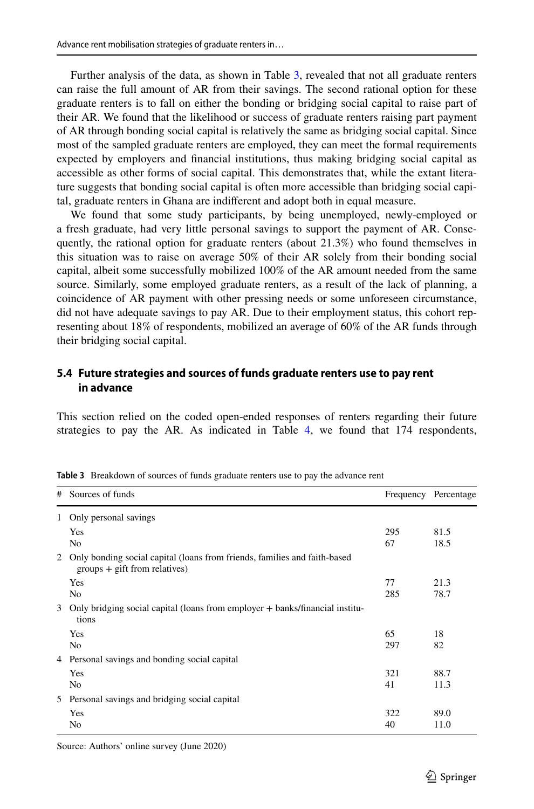Further analysis of the data, as shown in Table [3,](#page-12-0) revealed that not all graduate renters can raise the full amount of AR from their savings. The second rational option for these graduate renters is to fall on either the bonding or bridging social capital to raise part of their AR. We found that the likelihood or success of graduate renters raising part payment of AR through bonding social capital is relatively the same as bridging social capital. Since most of the sampled graduate renters are employed, they can meet the formal requirements expected by employers and fnancial institutions, thus making bridging social capital as accessible as other forms of social capital. This demonstrates that, while the extant literature suggests that bonding social capital is often more accessible than bridging social capital, graduate renters in Ghana are indiferent and adopt both in equal measure.

We found that some study participants, by being unemployed, newly-employed or a fresh graduate, had very little personal savings to support the payment of AR. Consequently, the rational option for graduate renters (about 21.3%) who found themselves in this situation was to raise on average 50% of their AR solely from their bonding social capital, albeit some successfully mobilized 100% of the AR amount needed from the same source. Similarly, some employed graduate renters, as a result of the lack of planning, a coincidence of AR payment with other pressing needs or some unforeseen circumstance, did not have adequate savings to pay AR. Due to their employment status, this cohort representing about 18% of respondents, mobilized an average of 60% of the AR funds through their bridging social capital.

# **5.4 Future strategies and sources of funds graduate renters use to pay rent in advance**

This section relied on the coded open-ended responses of renters regarding their future strategies to pay the AR. As indicated in Table [4,](#page-13-0) we found that 174 respondents,

| # | Sources of funds                                                                                             |     | Frequency Percentage |  |
|---|--------------------------------------------------------------------------------------------------------------|-----|----------------------|--|
| 1 | Only personal savings                                                                                        |     |                      |  |
|   | Yes                                                                                                          | 295 | 81.5                 |  |
|   | N <sub>0</sub>                                                                                               | 67  | 18.5                 |  |
| 2 | Only bonding social capital (loans from friends, families and faith-based<br>$groups + gift from relatives)$ |     |                      |  |
|   | Yes                                                                                                          | 77  | 21.3                 |  |
|   | N <sub>0</sub>                                                                                               | 285 | 78.7                 |  |
| 3 | Only bridging social capital (loans from employer + banks/financial institu-<br>tions                        |     |                      |  |
|   | Yes                                                                                                          | 65  | 18                   |  |
|   | N <sub>0</sub>                                                                                               | 297 | 82                   |  |
| 4 | Personal savings and bonding social capital                                                                  |     |                      |  |
|   | Yes                                                                                                          | 321 | 88.7                 |  |
|   | N <sub>0</sub>                                                                                               | 41  | 11.3                 |  |
| 5 | Personal savings and bridging social capital                                                                 |     |                      |  |
|   | Yes                                                                                                          | 322 | 89.0                 |  |
|   | N <sub>0</sub>                                                                                               | 40  | 11.0                 |  |

<span id="page-12-0"></span>**Table 3** Breakdown of sources of funds graduate renters use to pay the advance rent

Source: Authors' online survey (June 2020)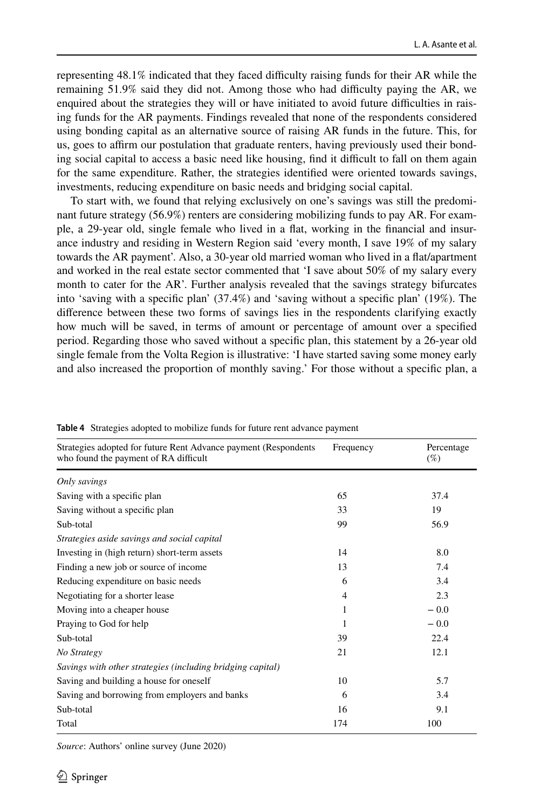representing 48.1% indicated that they faced difculty raising funds for their AR while the remaining  $51.9\%$  said they did not. Among those who had difficulty paying the AR, we enquired about the strategies they will or have initiated to avoid future difficulties in raising funds for the AR payments. Findings revealed that none of the respondents considered using bonding capital as an alternative source of raising AR funds in the future. This, for us, goes to afrm our postulation that graduate renters, having previously used their bonding social capital to access a basic need like housing, find it difficult to fall on them again for the same expenditure. Rather, the strategies identifed were oriented towards savings, investments, reducing expenditure on basic needs and bridging social capital.

To start with, we found that relying exclusively on one's savings was still the predominant future strategy (56.9%) renters are considering mobilizing funds to pay AR. For example, a 29-year old, single female who lived in a fat, working in the fnancial and insurance industry and residing in Western Region said 'every month, I save 19% of my salary towards the AR payment'. Also, a 30-year old married woman who lived in a fat/apartment and worked in the real estate sector commented that 'I save about 50% of my salary every month to cater for the AR'. Further analysis revealed that the savings strategy bifurcates into 'saving with a specifc plan' (37.4%) and 'saving without a specifc plan' (19%). The diference between these two forms of savings lies in the respondents clarifying exactly how much will be saved, in terms of amount or percentage of amount over a specifed period. Regarding those who saved without a specifc plan, this statement by a 26-year old single female from the Volta Region is illustrative: 'I have started saving some money early and also increased the proportion of monthly saving.' For those without a specifc plan, a

| Strategies adopted for future Rent Advance payment (Respondents<br>who found the payment of RA difficult | Frequency      | Percentage<br>$(\%)$ |
|----------------------------------------------------------------------------------------------------------|----------------|----------------------|
| Only savings                                                                                             |                |                      |
| Saving with a specific plan                                                                              | 65             | 37.4                 |
| Saving without a specific plan                                                                           | 33             | 19                   |
| Sub-total                                                                                                | 99             | 56.9                 |
| Strategies aside savings and social capital                                                              |                |                      |
| Investing in (high return) short-term assets                                                             | 14             | 8.0                  |
| Finding a new job or source of income                                                                    | 13             | 7.4                  |
| Reducing expenditure on basic needs                                                                      | 6              | 3.4                  |
| Negotiating for a shorter lease                                                                          | $\overline{4}$ | 2.3                  |
| Moving into a cheaper house                                                                              | 1              | $-0.0$               |
| Praying to God for help                                                                                  | 1              | $-0.0$               |
| Sub-total                                                                                                | 39             | 22.4                 |
| No Strategy                                                                                              | 21             | 12.1                 |
| Savings with other strategies (including bridging capital)                                               |                |                      |
| Saving and building a house for oneself                                                                  | 10             | 5.7                  |
| Saving and borrowing from employers and banks                                                            | 6              | 3.4                  |
| Sub-total                                                                                                | 16             | 9.1                  |
| Total                                                                                                    | 174            | 100                  |

<span id="page-13-0"></span>**Table 4** Strategies adopted to mobilize funds for future rent advance payment

*Source*: Authors' online survey (June 2020)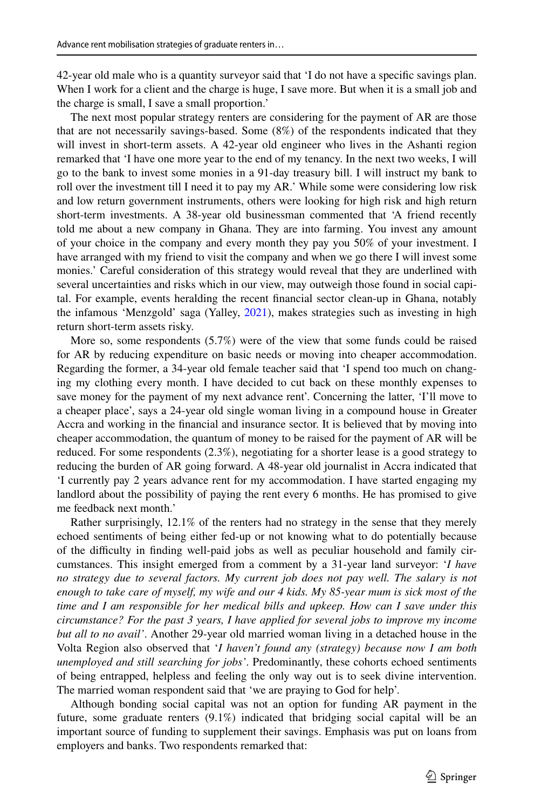42-year old male who is a quantity surveyor said that 'I do not have a specifc savings plan. When I work for a client and the charge is huge, I save more. But when it is a small job and the charge is small, I save a small proportion.'

The next most popular strategy renters are considering for the payment of AR are those that are not necessarily savings-based. Some (8%) of the respondents indicated that they will invest in short-term assets. A 42-year old engineer who lives in the Ashanti region remarked that 'I have one more year to the end of my tenancy. In the next two weeks, I will go to the bank to invest some monies in a 91-day treasury bill. I will instruct my bank to roll over the investment till I need it to pay my AR.' While some were considering low risk and low return government instruments, others were looking for high risk and high return short-term investments. A 38-year old businessman commented that 'A friend recently told me about a new company in Ghana. They are into farming. You invest any amount of your choice in the company and every month they pay you 50% of your investment. I have arranged with my friend to visit the company and when we go there I will invest some monies.' Careful consideration of this strategy would reveal that they are underlined with several uncertainties and risks which in our view, may outweigh those found in social capital. For example, events heralding the recent fnancial sector clean-up in Ghana, notably the infamous 'Menzgold' saga (Yalley, [2021](#page-20-16)), makes strategies such as investing in high return short-term assets risky.

More so, some respondents (5.7%) were of the view that some funds could be raised for AR by reducing expenditure on basic needs or moving into cheaper accommodation. Regarding the former, a 34-year old female teacher said that 'I spend too much on changing my clothing every month. I have decided to cut back on these monthly expenses to save money for the payment of my next advance rent'. Concerning the latter, 'I'll move to a cheaper place', says a 24-year old single woman living in a compound house in Greater Accra and working in the fnancial and insurance sector. It is believed that by moving into cheaper accommodation, the quantum of money to be raised for the payment of AR will be reduced. For some respondents (2.3%), negotiating for a shorter lease is a good strategy to reducing the burden of AR going forward. A 48-year old journalist in Accra indicated that 'I currently pay 2 years advance rent for my accommodation. I have started engaging my landlord about the possibility of paying the rent every 6 months. He has promised to give me feedback next month.'

Rather surprisingly, 12.1% of the renters had no strategy in the sense that they merely echoed sentiments of being either fed-up or not knowing what to do potentially because of the difculty in fnding well-paid jobs as well as peculiar household and family circumstances. This insight emerged from a comment by a 31-year land surveyor: '*I have no strategy due to several factors. My current job does not pay well. The salary is not enough to take care of myself, my wife and our 4 kids. My 85-year mum is sick most of the time and I am responsible for her medical bills and upkeep. How can I save under this circumstance? For the past 3 years, I have applied for several jobs to improve my income but all to no avail'*. Another 29-year old married woman living in a detached house in the Volta Region also observed that '*I haven't found any (strategy) because now I am both unemployed and still searching for jobs'*. Predominantly, these cohorts echoed sentiments of being entrapped, helpless and feeling the only way out is to seek divine intervention. The married woman respondent said that 'we are praying to God for help'.

Although bonding social capital was not an option for funding AR payment in the future, some graduate renters (9.1%) indicated that bridging social capital will be an important source of funding to supplement their savings. Emphasis was put on loans from employers and banks. Two respondents remarked that: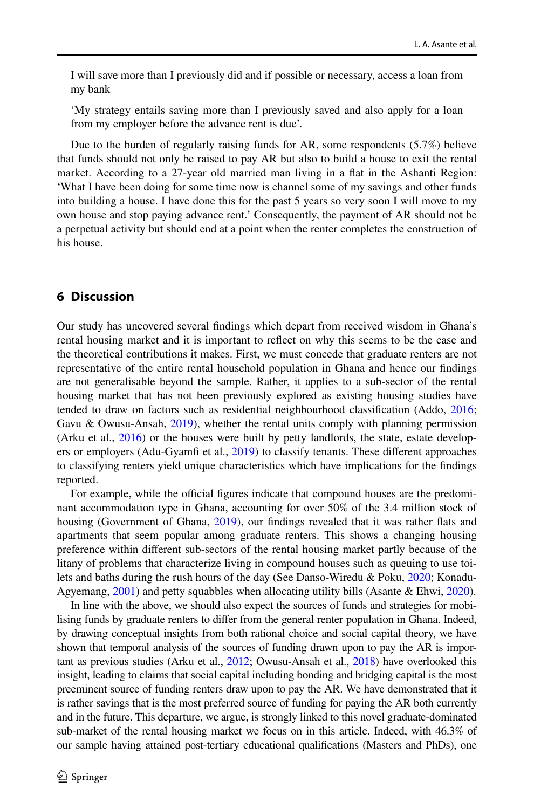I will save more than I previously did and if possible or necessary, access a loan from my bank

'My strategy entails saving more than I previously saved and also apply for a loan from my employer before the advance rent is due'.

Due to the burden of regularly raising funds for AR, some respondents (5.7%) believe that funds should not only be raised to pay AR but also to build a house to exit the rental market. According to a 27-year old married man living in a fat in the Ashanti Region: 'What I have been doing for some time now is channel some of my savings and other funds into building a house. I have done this for the past 5 years so very soon I will move to my own house and stop paying advance rent.' Consequently, the payment of AR should not be a perpetual activity but should end at a point when the renter completes the construction of his house.

#### **6 Discussion**

Our study has uncovered several fndings which depart from received wisdom in Ghana's rental housing market and it is important to refect on why this seems to be the case and the theoretical contributions it makes. First, we must concede that graduate renters are not representative of the entire rental household population in Ghana and hence our fndings are not generalisable beyond the sample. Rather, it applies to a sub-sector of the rental housing market that has not been previously explored as existing housing studies have tended to draw on factors such as residential neighbourhood classifcation (Addo, [2016;](#page-18-2) Gavu & Owusu-Ansah, [2019](#page-19-11)), whether the rental units comply with planning permission (Arku et al., [2016\)](#page-18-16) or the houses were built by petty landlords, the state, estate developers or employers (Adu-Gyamf et al., [2019\)](#page-18-17) to classify tenants. These diferent approaches to classifying renters yield unique characteristics which have implications for the fndings reported.

For example, while the official figures indicate that compound houses are the predominant accommodation type in Ghana, accounting for over 50% of the 3.4 million stock of housing (Government of Ghana, [2019](#page-19-17)), our fndings revealed that it was rather fats and apartments that seem popular among graduate renters. This shows a changing housing preference within diferent sub-sectors of the rental housing market partly because of the litany of problems that characterize living in compound houses such as queuing to use toilets and baths during the rush hours of the day (See Danso-Wiredu & Poku, [2020;](#page-19-21) Konadu-Agyemang, [2001\)](#page-19-22) and petty squabbles when allocating utility bills (Asante & Ehwi, [2020\)](#page-18-7).

In line with the above, we should also expect the sources of funds and strategies for mobilising funds by graduate renters to difer from the general renter population in Ghana. Indeed, by drawing conceptual insights from both rational choice and social capital theory, we have shown that temporal analysis of the sources of funding drawn upon to pay the AR is important as previous studies (Arku et al., [2012](#page-18-5); Owusu-Ansah et al., [2018](#page-20-4)) have overlooked this insight, leading to claims that social capital including bonding and bridging capital is the most preeminent source of funding renters draw upon to pay the AR. We have demonstrated that it is rather savings that is the most preferred source of funding for paying the AR both currently and in the future. This departure, we argue, is strongly linked to this novel graduate-dominated sub-market of the rental housing market we focus on in this article. Indeed, with 46.3% of our sample having attained post-tertiary educational qualifcations (Masters and PhDs), one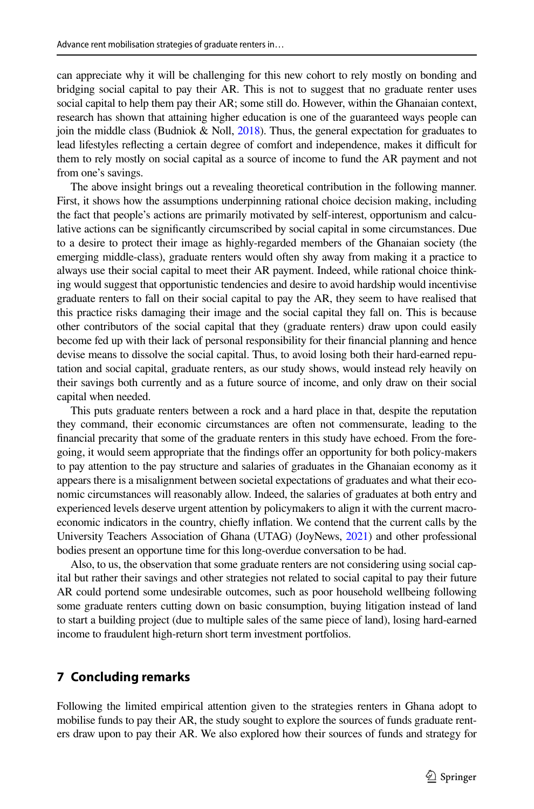can appreciate why it will be challenging for this new cohort to rely mostly on bonding and bridging social capital to pay their AR. This is not to suggest that no graduate renter uses social capital to help them pay their AR; some still do. However, within the Ghanaian context, research has shown that attaining higher education is one of the guaranteed ways people can join the middle class (Budniok & Noll, [2018](#page-18-18)). Thus, the general expectation for graduates to lead lifestyles refecting a certain degree of comfort and independence, makes it difcult for them to rely mostly on social capital as a source of income to fund the AR payment and not from one's savings.

The above insight brings out a revealing theoretical contribution in the following manner. First, it shows how the assumptions underpinning rational choice decision making, including the fact that people's actions are primarily motivated by self-interest, opportunism and calculative actions can be signifcantly circumscribed by social capital in some circumstances. Due to a desire to protect their image as highly-regarded members of the Ghanaian society (the emerging middle-class), graduate renters would often shy away from making it a practice to always use their social capital to meet their AR payment. Indeed, while rational choice thinking would suggest that opportunistic tendencies and desire to avoid hardship would incentivise graduate renters to fall on their social capital to pay the AR, they seem to have realised that this practice risks damaging their image and the social capital they fall on. This is because other contributors of the social capital that they (graduate renters) draw upon could easily become fed up with their lack of personal responsibility for their fnancial planning and hence devise means to dissolve the social capital. Thus, to avoid losing both their hard-earned reputation and social capital, graduate renters, as our study shows, would instead rely heavily on their savings both currently and as a future source of income, and only draw on their social capital when needed.

This puts graduate renters between a rock and a hard place in that, despite the reputation they command, their economic circumstances are often not commensurate, leading to the fnancial precarity that some of the graduate renters in this study have echoed. From the foregoing, it would seem appropriate that the fndings ofer an opportunity for both policy-makers to pay attention to the pay structure and salaries of graduates in the Ghanaian economy as it appears there is a misalignment between societal expectations of graduates and what their economic circumstances will reasonably allow. Indeed, the salaries of graduates at both entry and experienced levels deserve urgent attention by policymakers to align it with the current macroeconomic indicators in the country, chiefy infation. We contend that the current calls by the University Teachers Association of Ghana (UTAG) (JoyNews, [2021](#page-19-23)) and other professional bodies present an opportune time for this long-overdue conversation to be had.

Also, to us, the observation that some graduate renters are not considering using social capital but rather their savings and other strategies not related to social capital to pay their future AR could portend some undesirable outcomes, such as poor household wellbeing following some graduate renters cutting down on basic consumption, buying litigation instead of land to start a building project (due to multiple sales of the same piece of land), losing hard-earned income to fraudulent high-return short term investment portfolios.

## **7 Concluding remarks**

Following the limited empirical attention given to the strategies renters in Ghana adopt to mobilise funds to pay their AR, the study sought to explore the sources of funds graduate renters draw upon to pay their AR. We also explored how their sources of funds and strategy for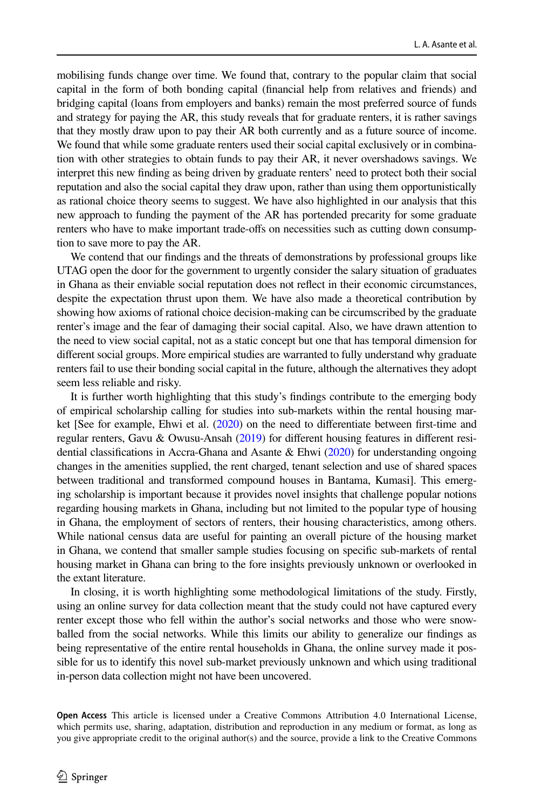mobilising funds change over time. We found that, contrary to the popular claim that social capital in the form of both bonding capital (fnancial help from relatives and friends) and bridging capital (loans from employers and banks) remain the most preferred source of funds and strategy for paying the AR, this study reveals that for graduate renters, it is rather savings that they mostly draw upon to pay their AR both currently and as a future source of income. We found that while some graduate renters used their social capital exclusively or in combination with other strategies to obtain funds to pay their AR, it never overshadows savings. We interpret this new fnding as being driven by graduate renters' need to protect both their social reputation and also the social capital they draw upon, rather than using them opportunistically as rational choice theory seems to suggest. We have also highlighted in our analysis that this new approach to funding the payment of the AR has portended precarity for some graduate renters who have to make important trade-ofs on necessities such as cutting down consumption to save more to pay the AR.

We contend that our fndings and the threats of demonstrations by professional groups like UTAG open the door for the government to urgently consider the salary situation of graduates in Ghana as their enviable social reputation does not refect in their economic circumstances, despite the expectation thrust upon them. We have also made a theoretical contribution by showing how axioms of rational choice decision-making can be circumscribed by the graduate renter's image and the fear of damaging their social capital. Also, we have drawn attention to the need to view social capital, not as a static concept but one that has temporal dimension for diferent social groups. More empirical studies are warranted to fully understand why graduate renters fail to use their bonding social capital in the future, although the alternatives they adopt seem less reliable and risky.

It is further worth highlighting that this study's fndings contribute to the emerging body of empirical scholarship calling for studies into sub-markets within the rental housing market [See for example, Ehwi et al. [\(2020\)](#page-19-0) on the need to diferentiate between frst-time and regular renters, Gavu & Owusu-Ansah [\(2019](#page-19-11)) for diferent housing features in diferent residential classifcations in Accra-Ghana and Asante & Ehwi [\(2020](#page-18-7)) for understanding ongoing changes in the amenities supplied, the rent charged, tenant selection and use of shared spaces between traditional and transformed compound houses in Bantama, Kumasi]. This emerging scholarship is important because it provides novel insights that challenge popular notions regarding housing markets in Ghana, including but not limited to the popular type of housing in Ghana, the employment of sectors of renters, their housing characteristics, among others. While national census data are useful for painting an overall picture of the housing market in Ghana, we contend that smaller sample studies focusing on specifc sub-markets of rental housing market in Ghana can bring to the fore insights previously unknown or overlooked in the extant literature.

In closing, it is worth highlighting some methodological limitations of the study. Firstly, using an online survey for data collection meant that the study could not have captured every renter except those who fell within the author's social networks and those who were snowballed from the social networks. While this limits our ability to generalize our fndings as being representative of the entire rental households in Ghana, the online survey made it possible for us to identify this novel sub-market previously unknown and which using traditional in-person data collection might not have been uncovered.

**Open Access** This article is licensed under a Creative Commons Attribution 4.0 International License, which permits use, sharing, adaptation, distribution and reproduction in any medium or format, as long as you give appropriate credit to the original author(s) and the source, provide a link to the Creative Commons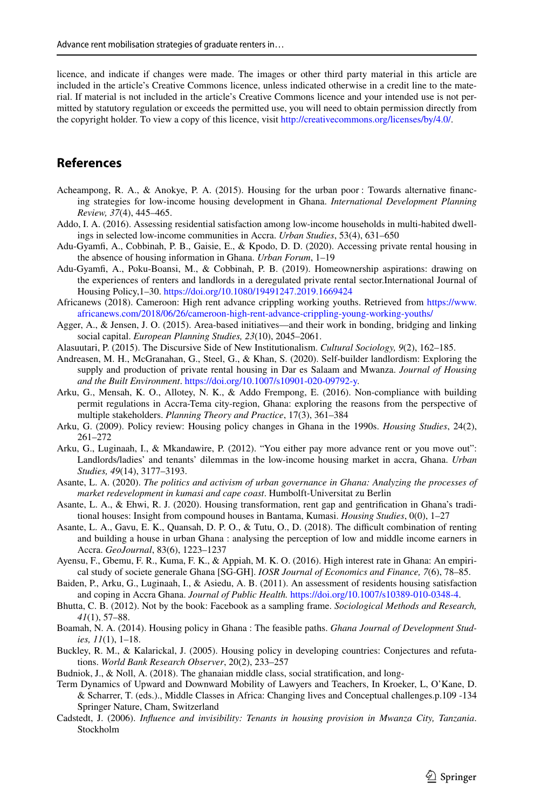licence, and indicate if changes were made. The images or other third party material in this article are included in the article's Creative Commons licence, unless indicated otherwise in a credit line to the material. If material is not included in the article's Creative Commons licence and your intended use is not permitted by statutory regulation or exceeds the permitted use, you will need to obtain permission directly from the copyright holder. To view a copy of this licence, visit<http://creativecommons.org/licenses/by/4.0/>.

# **References**

- <span id="page-18-8"></span>Acheampong, R. A., & Anokye, P. A. (2015). Housing for the urban poor : Towards alternative fnancing strategies for low-income housing development in Ghana. *International Development Planning Review, 37*(4), 445–465.
- <span id="page-18-2"></span>Addo, I. A. (2016). Assessing residential satisfaction among low-income households in multi-habited dwellings in selected low-income communities in Accra. *Urban Studies*, 53(4), 631–650
- <span id="page-18-3"></span>Adu-Gyamf, A., Cobbinah, P. B., Gaisie, E., & Kpodo, D. D. (2020). Accessing private rental housing in the absence of housing information in Ghana. *Urban Forum*, 1–19
- <span id="page-18-17"></span>Adu-Gyamf, A., Poku-Boansi, M., & Cobbinah, P. B. (2019). Homeownership aspirations: drawing on the experiences of renters and landlords in a deregulated private rental sector.International Journal of Housing Policy,1–30. <https://doi.org/10.1080/19491247.2019.1669424>
- <span id="page-18-4"></span>Africanews (2018). Cameroon: High rent advance crippling working youths. Retrieved from [https://www.](https://www.africanews.com/2018/06/26/cameroon-high-rent-advance-crippling-young-working-youths/) [africanews.com/2018/06/26/cameroon-high-rent-advance-crippling-young-working-youths/](https://www.africanews.com/2018/06/26/cameroon-high-rent-advance-crippling-young-working-youths/)
- <span id="page-18-13"></span>Agger, A., & Jensen, J. O. (2015). Area-based initiatives—and their work in bonding, bridging and linking social capital. *European Planning Studies, 23*(10), 2045–2061.
- <span id="page-18-12"></span>Alasuutari, P. (2015). The Discursive Side of New Institutionalism. *Cultural Sociology, 9*(2), 162–185.
- <span id="page-18-0"></span>Andreasen, M. H., McGranahan, G., Steel, G., & Khan, S. (2020). Self-builder landlordism: Exploring the supply and production of private rental housing in Dar es Salaam and Mwanza. *Journal of Housing and the Built Environment*.<https://doi.org/10.1007/s10901-020-09792-y>.
- <span id="page-18-16"></span>Arku, G., Mensah, K. O., Allotey, N. K., & Addo Frempong, E. (2016). Non-compliance with building permit regulations in Accra-Tema city-region, Ghana: exploring the reasons from the perspective of multiple stakeholders. *Planning Theory and Practice*, 17(3), 361–384
- <span id="page-18-10"></span>Arku, G. (2009). Policy review: Housing policy changes in Ghana in the 1990s. *Housing Studies*, 24(2), 261–272
- <span id="page-18-5"></span>Arku, G., Luginaah, I., & Mkandawire, P. (2012). "You either pay more advance rent or you move out": Landlords/ladies' and tenants' dilemmas in the low-income housing market in accra, Ghana. *Urban Studies, 49*(14), 3177–3193.
- Asante, L. A. (2020). *The politics and activism of urban governance in Ghana: Analyzing the processes of market redevelopment in kumasi and cape coast*. Humbolft-Universitat zu Berlin
- <span id="page-18-7"></span>Asante, L. A., & Ehwi, R. J. (2020). Housing transformation, rent gap and gentrifcation in Ghana's traditional houses: Insight from compound houses in Bantama, Kumasi. *Housing Studies*, 0(0), 1–27
- <span id="page-18-11"></span>Asante, L. A., Gavu, E. K., Quansah, D. P. O., & Tutu, O., D. (2018). The difficult combination of renting and building a house in urban Ghana : analysing the perception of low and middle income earners in Accra. *GeoJournal*, 83(6), 1223–1237
- <span id="page-18-14"></span>Ayensu, F., Gbemu, F. R., Kuma, F. K., & Appiah, M. K. O. (2016). High interest rate in Ghana: An empirical study of societe generale Ghana [SG-GH]. *IOSR Journal of Economics and Finance, 7*(6), 78–85.
- <span id="page-18-1"></span>Baiden, P., Arku, G., Luginaah, I., & Asiedu, A. B. (2011). An assessment of residents housing satisfaction and coping in Accra Ghana. *Journal of Public Health.* [https://doi.org/10.1007/s10389-010-0348-4.](https://doi.org/10.1007/s10389-010-0348-4)
- <span id="page-18-15"></span>Bhutta, C. B. (2012). Not by the book: Facebook as a sampling frame. *Sociological Methods and Research, 41*(1), 57–88.
- <span id="page-18-9"></span>Boamah, N. A. (2014). Housing policy in Ghana : The feasible paths. *Ghana Journal of Development Studies, 11*(1), 1–18.
- Buckley, R. M., & Kalarickal, J. (2005). Housing policy in developing countries: Conjectures and refutations. *World Bank Research Observer*, 20(2), 233–257
- <span id="page-18-18"></span>Budniok, J., & Noll, A. (2018). The ghanaian middle class, social stratifcation, and long-
- Term Dynamics of Upward and Downward Mobility of Lawyers and Teachers, In Kroeker, L, O'Kane, D. & Scharrer, T. (eds.)., Middle Classes in Africa: Changing lives and Conceptual challenges.p.109 -134 Springer Nature, Cham, Switzerland
- <span id="page-18-6"></span>Cadstedt, J. (2006). *Infuence and invisibility: Tenants in housing provision in Mwanza City, Tanzania*. Stockholm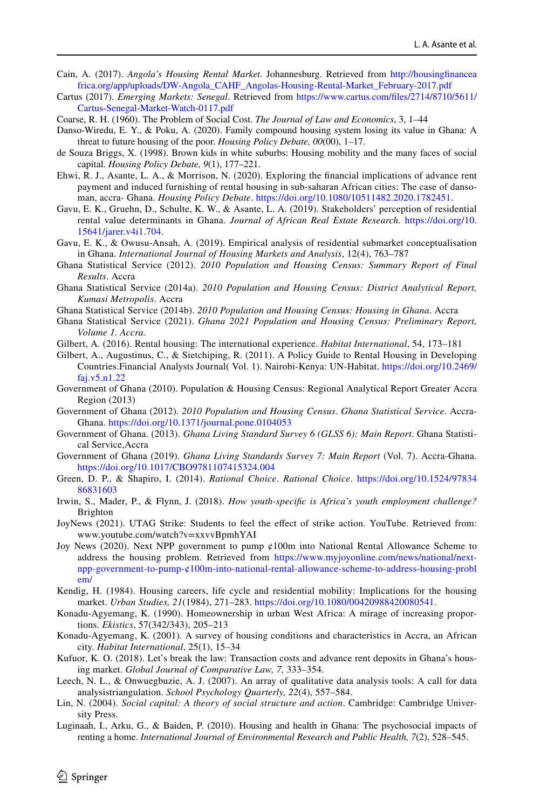- <span id="page-19-3"></span>Cain, A. (2017). *Angola's Housing Rental Market*. Johannesburg. Retrieved from [http://housingfnancea](http://housingfinanceafrica.org/app/uploads/DW-Angola_CAHF_Angolas-Housing-Rental-Market_February-2017.pdf) [frica.org/app/uploads/DW-Angola\\_CAHF\\_Angolas-Housing-Rental-Market\\_February-2017.pdf](http://housingfinanceafrica.org/app/uploads/DW-Angola_CAHF_Angolas-Housing-Rental-Market_February-2017.pdf)
- <span id="page-19-4"></span>Cartus (2017). *Emerging Markets: Senegal*. Retrieved from [https://www.cartus.com/fles/2714/8710/5611/](https://www.cartus.com/files/2714/8710/5611/Cartus-Senegal-Market-Watch-0117.pdf) [Cartus-Senegal-Market-Watch-0117.pdf](https://www.cartus.com/files/2714/8710/5611/Cartus-Senegal-Market-Watch-0117.pdf)
- <span id="page-19-13"></span>Coarse, R. H. (1960). The Problem of Social Cost. *The Journal of Law and Economics*, 3, 1–44
- <span id="page-19-21"></span>Danso-Wiredu, E. Y., & Poku, A. (2020). Family compound housing system losing its value in Ghana: A threat to future housing of the poor. *Housing Policy Debate, 00*(00), 1–17.
- <span id="page-19-14"></span>de Souza Briggs, X. (1998). Brown kids in white suburbs: Housing mobility and the many faces of social capital. *Housing Policy Debate, 9*(1), 177–221.
- <span id="page-19-0"></span>Ehwi, R. J., Asante, L. A., & Morrison, N. (2020). Exploring the fnancial implications of advance rent payment and induced furnishing of rental housing in sub-saharan African cities: The case of dansoman, accra- Ghana. *Housing Policy Debate*. <https://doi.org/10.1080/10511482.2020.1782451>.
- <span id="page-19-2"></span>Gavu, E. K., Gruehn, D., Schulte, K. W., & Asante, L. A. (2019). Stakeholders' perception of residential rental value determinants in Ghana. *Journal of African Real Estate Research.* [https://doi.org/10.](https://doi.org/10.15641/jarer.v4i1.704) [15641/jarer.v4i1.704.](https://doi.org/10.15641/jarer.v4i1.704)
- <span id="page-19-11"></span>Gavu, E. K., & Owusu-Ansah, A. (2019). Empirical analysis of residential submarket conceptualisation in Ghana. *International Journal of Housing Markets and Analysis*, 12(4), 763–787
- <span id="page-19-9"></span>Ghana Statistical Service (2012). *2010 Population and Housing Census: Summary Report of Final Results*. Accra
- <span id="page-19-7"></span>Ghana Statistical Service (2014a). *2010 Population and Housing Census: District Analytical Report, Kumasi Metropolis*. Accra
- <span id="page-19-10"></span>Ghana Statistical Service (2014b). *2010 Population and Housing Census: Housing in Ghana*. Accra
- <span id="page-19-8"></span>Ghana Statistical Service (2021). *Ghana 2021 Population and Housing Census: Preliminary Report, Volume 1. Accra.*
- <span id="page-19-19"></span>Gilbert, A. (2016). Rental housing: The international experience. *Habitat International*, 54, 173–181
- Gilbert, A., Augustinus, C., & Sietchiping, R. (2011). A Policy Guide to Rental Housing in Developing Countries.Financial Analysts Journal( Vol. 1). Nairobi-Kenya: UN-Habitat. [https://doi.org/10.2469/](https://doi.org/10.2469/faj.v5.n1.22) [faj.v5.n1.22](https://doi.org/10.2469/faj.v5.n1.22)
- Government of Ghana (2010). Population & Housing Census: Regional Analytical Report Greater Accra Region (2013)
- Government of Ghana (2012). *2010 Population and Housing Census*. *Ghana Statistical Service*. Accra-Ghana.<https://doi.org/10.1371/journal.pone.0104053>
- <span id="page-19-18"></span>Government of Ghana. (2013). *Ghana Living Standard Survey 6 (GLSS 6): Main Report*. Ghana Statistical Service,Accra
- <span id="page-19-17"></span>Government of Ghana (2019). *Ghana Living Standards Survey 7: Main Report* (Vol. 7). Accra-Ghana. <https://doi.org/10.1017/CBO9781107415324.004>
- <span id="page-19-12"></span>Green, D. P., & Shapiro, I. (2014). *Rational Choice*. *Rational Choice*. [https://doi.org/10.1524/97834](https://doi.org/10.1524/9783486831603) [86831603](https://doi.org/10.1524/9783486831603)
- <span id="page-19-16"></span>Irwin, S., Mader, P., & Flynn, J. (2018). *How youth-specifc is Africa's youth employment challenge?* Brighton
- <span id="page-19-23"></span>JoyNews (2021). UTAG Strike: Students to feel the efect of strike action. YouTube. Retrieved from: www.youtube.com/watch?v=xxvvBpmhYAI
- <span id="page-19-6"></span>Joy News (2020). Next NPP government to pump ¢100m into National Rental Allowance Scheme to address the housing problem. Retrieved from [https://www.myjoyonline.com/news/national/next](https://www.myjoyonline.com/news/national/next-npp-government-to-pump-¢100m-into-national-rental-allowance-scheme-to-address-housing-problem/)[npp-government-to-pump-¢100m-into-national-rental-allowance-scheme-to-address-housing-probl](https://www.myjoyonline.com/news/national/next-npp-government-to-pump-¢100m-into-national-rental-allowance-scheme-to-address-housing-problem/) [em/](https://www.myjoyonline.com/news/national/next-npp-government-to-pump-¢100m-into-national-rental-allowance-scheme-to-address-housing-problem/)
- <span id="page-19-20"></span>Kendig, H. (1984). Housing careers, life cycle and residential mobility: Implications for the housing market. *Urban Studies, 21*(1984), 271–283. [https://doi.org/10.1080/00420988420080541.](https://doi.org/10.1080/00420988420080541)
- Konadu-Agyemang, K. (1990). Homeownership in urban West Africa: A mirage of increasing proportions. *Ekistics*, 57(342/343), 205–213
- <span id="page-19-22"></span>Konadu-Agyemang, K. (2001). A survey of housing conditions and characteristics in Accra, an African city. *Habitat International*, 25(1), 15–34
- <span id="page-19-5"></span>Kufuor, K. O. (2018). Let's break the law: Transaction costs and advance rent deposits in Ghana's housing market. *Global Journal of Comparative Law, 7,* 333–354.
- Leech, N. L., & Onwuegbuzie, A. J. (2007). An array of qualitative data analysis tools: A call for data analysistriangulation. *School Psychology Quarterly, 22*(4), 557–584.
- <span id="page-19-15"></span>Lin, N. (2004). *Social capital: A theory of social structure and action*. Cambridge: Cambridge University Press.
- <span id="page-19-1"></span>Luginaah, I., Arku, G., & Baiden, P. (2010). Housing and health in Ghana: The psychosocial impacts of renting a home. *International Journal of Environmental Research and Public Health, 7*(2), 528–545.